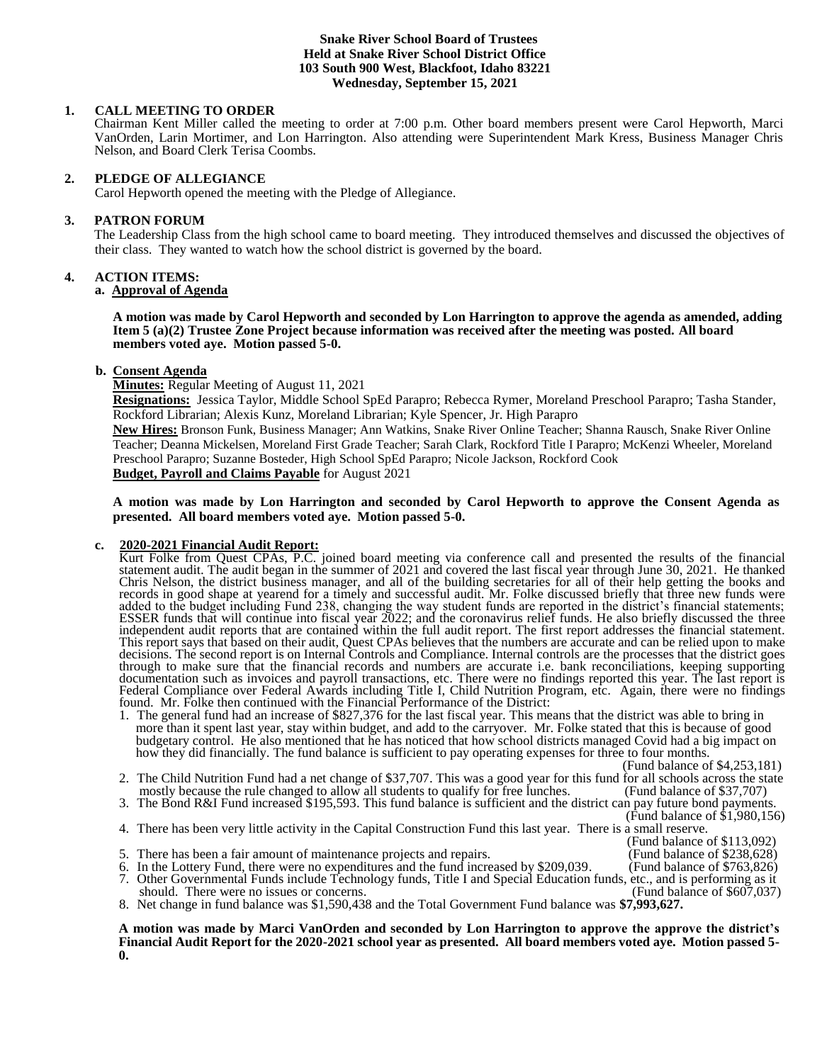## **Snake River School Board of Trustees Held at Snake River School District Office 103 South 900 West, Blackfoot, Idaho 83221 Wednesday, September 15, 2021**

# **1. CALL MEETING TO ORDER**

Chairman Kent Miller called the meeting to order at 7:00 p.m. Other board members present were Carol Hepworth, Marci VanOrden, Larin Mortimer, and Lon Harrington. Also attending were Superintendent Mark Kress, Business Manager Chris Nelson, and Board Clerk Terisa Coombs.

# **2. PLEDGE OF ALLEGIANCE**

Carol Hepworth opened the meeting with the Pledge of Allegiance.

# **3. PATRON FORUM**

The Leadership Class from the high school came to board meeting. They introduced themselves and discussed the objectives of their class. They wanted to watch how the school district is governed by the board.

# **4. ACTION ITEMS:**

# **a. Approval of Agenda**

**A motion was made by Carol Hepworth and seconded by Lon Harrington to approve the agenda as amended, adding Item 5 (a)(2) Trustee Zone Project because information was received after the meeting was posted. All board members voted aye. Motion passed 5-0.**

# **b. Consent Agenda**

**Minutes:** Regular Meeting of August 11, 2021

**Resignations:** Jessica Taylor, Middle School SpEd Parapro; Rebecca Rymer, Moreland Preschool Parapro; Tasha Stander, Rockford Librarian; Alexis Kunz, Moreland Librarian; Kyle Spencer, Jr. High Parapro

**New Hires:** Bronson Funk, Business Manager; Ann Watkins, Snake River Online Teacher; Shanna Rausch, Snake River Online Teacher; Deanna Mickelsen, Moreland First Grade Teacher; Sarah Clark, Rockford Title I Parapro; McKenzi Wheeler, Moreland Preschool Parapro; Suzanne Bosteder, High School SpEd Parapro; Nicole Jackson, Rockford Cook

# **Budget, Payroll and Claims Payable** for August 2021

# **A motion was made by Lon Harrington and seconded by Carol Hepworth to approve the Consent Agenda as presented. All board members voted aye. Motion passed 5-0.**

# **c. 2020-2021 Financial Audit Report:**

Kurt Folke from Quest CPAs, P.C. joined board meeting via conference call and presented the results of the financial statement audit. The audit began in the summer of 2021 and covered the last fiscal year through June 30, 2021. He thanked Chris Nelson, the district business manager, and all of the building secretaries for all of their help getting the books and records in good shape at yearend for a timely and successful audit. Mr. Folke discussed briefly that three new funds were added to the budget including Fund 238, changing the way student funds are reported in the district's financial statements; ESSER funds that will continue into fiscal year 2022; and the coronavirus relief funds. He also briefly discussed the three independent audit reports that are contained within the full audit report. The first report addresses the financial statement. This report says that based on their audit, Quest CPAs believes that the numbers are accurate and can be relied upon to make decisions. The second report is on Internal Controls and Compliance. Internal controls are the processes that the district goes through to make sure that the financial records and numbers are accurate i.e. bank reconciliations, keeping supporting documentation such as invoices and payroll transactions, etc. There were no findings reported this year. The last report is Federal Compliance over Federal Awards including Title I, Child Nutrition Program, etc. Again, there were no findings found. Mr. Folke then continued with the Financial Performance of the District:

1. The general fund had an increase of \$827,376 for the last fiscal year. This means that the district was able to bring in more than it spent last year, stay within budget, and add to the carryover. Mr. Folke stated that this is because of good budgetary control. He also mentioned that he has noticed that how school districts managed Covid had a big impact on how they did financially. The fund balance is sufficient to pay operating expenses for three to four months.

(Fund balance of \$4,253,181)

- 2. The Child Nutrition Fund had a net change of \$37,707. This was a good year for this fund for all schools across the state mostly because the rule changed to allow all students to qualify for free lunches. (Fund balance mostly because the rule changed to allow all students to qualify for free lunches.
- 3. The Bond R&I Fund increased \$195,593. This fund balance is sufficient and the district can pay future bond payments.

(Fund balance of \$1,980,156)

- 4. There has been very little activity in the Capital Construction Fund this last year. There is a small reserve. (Fund balance of \$113,092)
- 5. There has been a fair amount of maintenance projects and repairs.
- 6. In the Lottery Fund, there were no expenditures and the fund increased by \$209,039. (Fund balance of \$763,826)
- 7. Other Governmental Funds include Technology funds, Title I and Special Education funds, etc., and is performing as it should. There were no issues or concerns.
- 8. Net change in fund balance was \$1,590,438 and the Total Government Fund balance was **\$7,993,627.**

**A motion was made by Marci VanOrden and seconded by Lon Harrington to approve the approve the district's Financial Audit Report for the 2020-2021 school year as presented. All board members voted aye. Motion passed 5- 0.**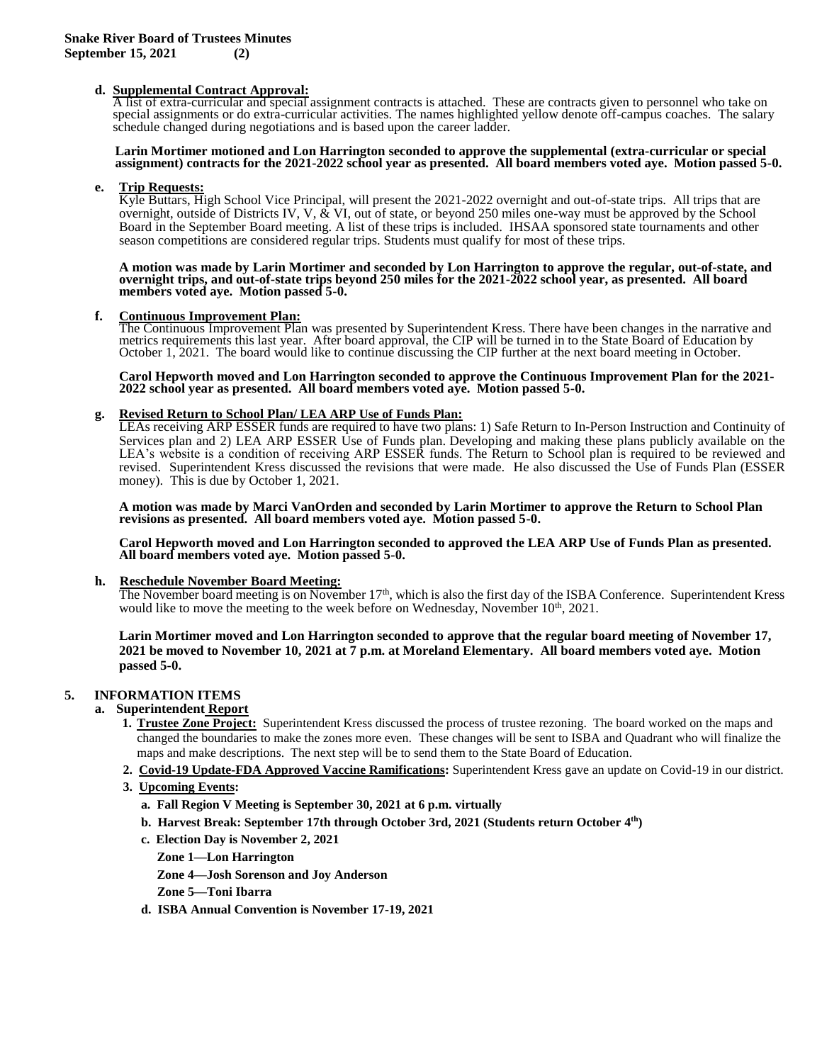# **d. Supplemental Contract Approval:**

A list of extra-curricular and special assignment contracts is attached. These are contracts given to personnel who take on special assignments or do extra-curricular activities. The names highlighted yellow denote off-campus coaches. The salary schedule changed during negotiations and is based upon the career ladder.

### **Larin Mortimer motioned and Lon Harrington seconded to approve the supplemental (extra-curricular or special assignment) contracts for the 2021-2022 school year as presented. All board members voted aye. Motion passed 5-0.**

#### **e. Trip Requests:**

Kyle Buttars, High School Vice Principal, will present the 2021-2022 overnight and out-of-state trips. All trips that are overnight, outside of Districts IV, V, & VI, out of state, or beyond 250 miles one-way must be approved by the School Board in the September Board meeting. A list of these trips is included. IHSAA sponsored state tournaments and other season competitions are considered regular trips. Students must qualify for most of these trips.

**A motion was made by Larin Mortimer and seconded by Lon Harrington to approve the regular, out-of-state, and overnight trips, and out-of-state trips beyond 250 miles for the 2021-2022 school year, as presented. All board members voted aye. Motion passed 5-0.**

#### **f. Continuous Improvement Plan:**

The Continuous Improvement Plan was presented by Superintendent Kress. There have been changes in the narrative and metrics requirements this last year. After board approval, the CIP will be turned in to the State Board of Education by October 1, 2021. The board would like to continue discussing the CIP further at the next board meeting in October.

#### **Carol Hepworth moved and Lon Harrington seconded to approve the Continuous Improvement Plan for the 2021- 2022 school year as presented. All board members voted aye. Motion passed 5-0.**

## **g. Revised Return to School Plan/ LEA ARP Use of Funds Plan:**

LEAs receiving ARP ESSER funds are required to have two plans: 1) Safe Return to In-Person Instruction and Continuity of Services plan and 2) LEA ARP ESSER Use of Funds plan. Developing and making these plans publicly available on the LEA's website is a condition of receiving ARP ESSER funds. The Return to School plan is required to be reviewed and revised. Superintendent Kress discussed the revisions that were made. He also discussed the Use of Funds Plan (ESSER money). This is due by October 1, 2021.

**A motion was made by Marci VanOrden and seconded by Larin Mortimer to approve the Return to School Plan revisions as presented. All board members voted aye. Motion passed 5-0.**

**Carol Hepworth moved and Lon Harrington seconded to approved the LEA ARP Use of Funds Plan as presented. All board members voted aye. Motion passed 5-0.**

# **h. Reschedule November Board Meeting:**

The November board meeting is on November  $17<sup>th</sup>$ , which is also the first day of the ISBA Conference. Superintendent Kress would like to move the meeting to the week before on Wednesday, November  $10^{th}$ , 2021.

**Larin Mortimer moved and Lon Harrington seconded to approve that the regular board meeting of November 17, 2021 be moved to November 10, 2021 at 7 p.m. at Moreland Elementary. All board members voted aye. Motion passed 5-0.**

# **5. INFORMATION ITEMS**

# **a. Superintendent Report**

- **1. Trustee Zone Project:** Superintendent Kress discussed the process of trustee rezoning. The board worked on the maps and changed the boundaries to make the zones more even. These changes will be sent to ISBA and Quadrant who will finalize the maps and make descriptions. The next step will be to send them to the State Board of Education.
- **2. Covid-19 Update-FDA Approved Vaccine Ramifications:** Superintendent Kress gave an update on Covid-19 in our district.
- **3. Upcoming Events:**
	- **a. Fall Region V Meeting is September 30, 2021 at 6 p.m. virtually**
- **b. Harvest Break: September 17th through October 3rd, 2021 (Students return October 4 th)**
	- **c. Election Day is November 2, 2021**
		- **Zone 1—Lon Harrington**
		- **Zone 4—Josh Sorenson and Joy Anderson**

 **Zone 5—Toni Ibarra**

 **d. ISBA Annual Convention is November 17-19, 2021**